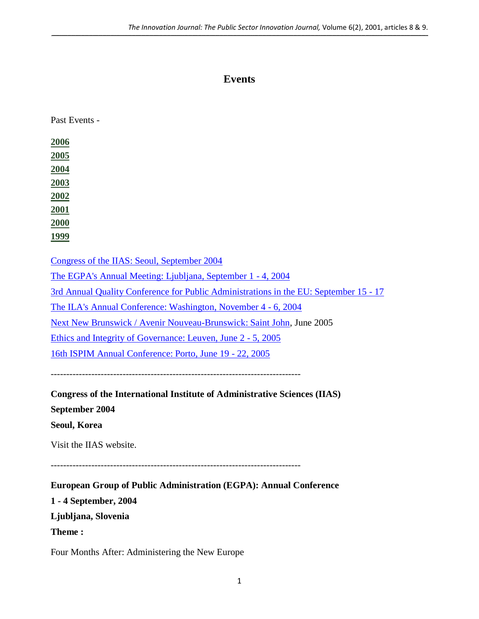# **Events**

 $\_$  , and the state of the state of the state of the state of the state of the state of the state of the state of the state of the state of the state of the state of the state of the state of the state of the state of the

Past Events -

| 2006                                                                                         |
|----------------------------------------------------------------------------------------------|
| 2005                                                                                         |
| 2004                                                                                         |
| 2003                                                                                         |
| 2002                                                                                         |
| <b>2001</b>                                                                                  |
| 2000                                                                                         |
| <u>1999</u>                                                                                  |
|                                                                                              |
| Congress of the IIAS: Seoul, September 2004                                                  |
| The EGPA's Annual Meeting: Ljubljana, September 1 - 4, 2004                                  |
| <u>3rd Annual Quality Conference for Public Administrations in the EU: September 15 - 17</u> |
| The ILA's Annual Conference: Washington, November 4 - 6, 2004                                |
| Next New Brunswick / Avenir Nouveau-Brunswick: Saint John, June 2005                         |
| Ethics and Integrity of Governance: Leuven, June 2 - 5, 2005                                 |
| 16th ISPIM Annual Conference: Porto, June 19 - 22, 2005                                      |
|                                                                                              |
|                                                                                              |
| <b>Congress of the International Institute of Administrative Sciences (IIAS)</b>             |
| September 2004                                                                               |
| Seoul, Korea                                                                                 |
| Visit the IIAS website.                                                                      |
|                                                                                              |

<span id="page-0-0"></span>--------------------------------------------------------------------------------

<span id="page-0-1"></span>**European Group of Public Administration (EGPA): Annual Conference 1 - 4 September, 2004 Ljubljana, Slovenia Theme :** 

Four Months After: Administering the New Europe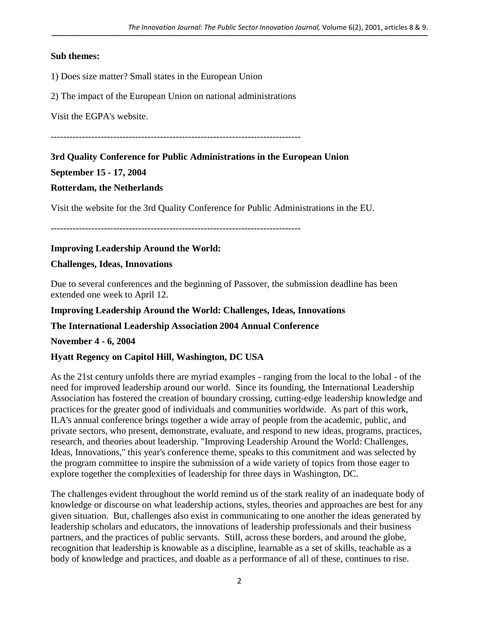$\_$  , and the state of the state of the state of the state of the state of the state of the state of the state of the state of the state of the state of the state of the state of the state of the state of the state of the

#### **Sub themes:**

1) Does size matter? Small states in the European Union

2) The impact of the European Union on national administrations

Visit the EGPA's website.

--------------------------------------------------------------------------------

#### <span id="page-1-0"></span>**3rd Quality Conference for Public Administrations in the European Union**

**September 15 - 17, 2004**

#### **Rotterdam, the Netherlands**

Visit the website for the 3rd Quality Conference for Public Administrations in the EU.

--------------------------------------------------------------------------------

# <span id="page-1-1"></span>**Improving Leadership Around the World:**

# **Challenges, Ideas, Innovations**

Due to several conferences and the beginning of Passover, the submission deadline has been extended one week to April 12.

#### **Improving Leadership Around the World: Challenges, Ideas, Innovations**

# **The International Leadership Association 2004 Annual Conference**

#### **November 4 - 6, 2004**

# **Hyatt Regency on Capitol Hill, Washington, DC USA**

As the 21st century unfolds there are myriad examples - ranging from the local to the lobal - of the need for improved leadership around our world. Since its founding, the International Leadership Association has fostered the creation of boundary crossing, cutting-edge leadership knowledge and practices for the greater good of individuals and communities worldwide. As part of this work, ILA's annual conference brings together a wide array of people from the academic, public, and private sectors, who present, demonstrate, evaluate, and respond to new ideas, programs, practices, research, and theories about leadership. "Improving Leadership Around the World: Challenges, Ideas, Innovations," this year's conference theme, speaks to this commitment and was selected by the program committee to inspire the submission of a wide variety of topics from those eager to explore together the complexities of leadership for three days in Washington, DC.

The challenges evident throughout the world remind us of the stark reality of an inadequate body of knowledge or discourse on what leadership actions, styles, theories and approaches are best for any given situation. But, challenges also exist in communicating to one another the ideas generated by leadership scholars and educators, the innovations of leadership professionals and their business partners, and the practices of public servants. Still, across these borders, and around the globe, recognition that leadership is knowable as a discipline, learnable as a set of skills, teachable as a body of knowledge and practices, and doable as a performance of all of these, continues to rise.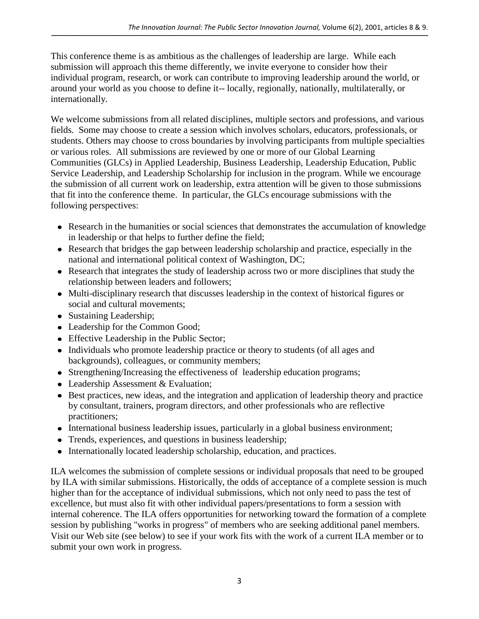This conference theme is as ambitious as the challenges of leadership are large. While each submission will approach this theme differently, we invite everyone to consider how their individual program, research, or work can contribute to improving leadership around the world, or around your world as you choose to define it-- locally, regionally, nationally, multilaterally, or internationally.

We welcome submissions from all related disciplines, multiple sectors and professions, and various fields. Some may choose to create a session which involves scholars, educators, professionals, or students. Others may choose to cross boundaries by involving participants from multiple specialties or various roles. All submissions are reviewed by one or more of our Global Learning Communities (GLCs) in Applied Leadership, Business Leadership, Leadership Education, Public Service Leadership, and Leadership Scholarship for inclusion in the program. While we encourage the submission of all current work on leadership, extra attention will be given to those submissions that fit into the conference theme. In particular, the GLCs encourage submissions with the following perspectives:

- Research in the humanities or social sciences that demonstrates the accumulation of knowledge in leadership or that helps to further define the field;
- Research that bridges the gap between leadership scholarship and practice, especially in the national and international political context of Washington, DC;
- Research that integrates the study of leadership across two or more disciplines that study the relationship between leaders and followers;
- Multi-disciplinary research that discusses leadership in the context of historical figures or social and cultural movements;
- Sustaining Leadership;
- Leadership for the Common Good;
- Effective Leadership in the Public Sector;
- Individuals who promote leadership practice or theory to students (of all ages and backgrounds), colleagues, or community members;
- Strengthening/Increasing the effectiveness of leadership education programs;
- Leadership Assessment & Evaluation;
- Best practices, new ideas, and the integration and application of leadership theory and practice by consultant, trainers, program directors, and other professionals who are reflective practitioners;
- International business leadership issues, particularly in a global business environment;
- Trends, experiences, and questions in business leadership;
- Internationally located leadership scholarship, education, and practices.

ILA welcomes the submission of complete sessions or individual proposals that need to be grouped by ILA with similar submissions. Historically, the odds of acceptance of a complete session is much higher than for the acceptance of individual submissions, which not only need to pass the test of excellence, but must also fit with other individual papers/presentations to form a session with internal coherence. The ILA offers opportunities for networking toward the formation of a complete session by publishing "works in progress" of members who are seeking additional panel members. Visit our Web site (see below) to see if your work fits with the work of a current ILA member or to submit your own work in progress.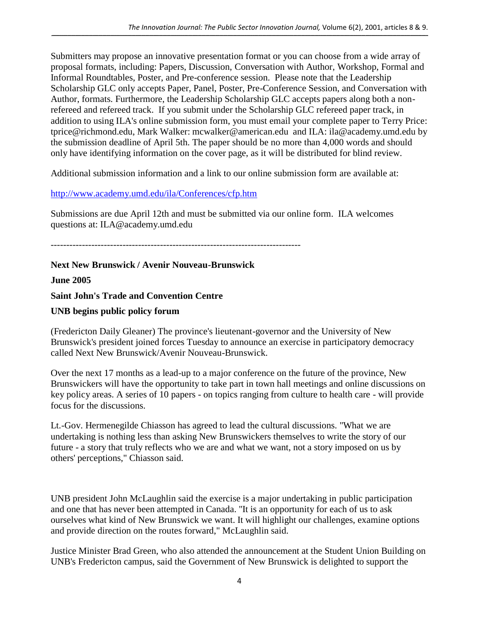Submitters may propose an innovative presentation format or you can choose from a wide array of proposal formats, including: Papers, Discussion, Conversation with Author, Workshop, Formal and Informal Roundtables, Poster, and Pre-conference session. Please note that the Leadership Scholarship GLC only accepts Paper, Panel, Poster, Pre-Conference Session, and Conversation with Author, formats. Furthermore, the Leadership Scholarship GLC accepts papers along both a nonrefereed and refereed track. If you submit under the Scholarship GLC refereed paper track, in addition to using ILA's online submission form, you must email your complete paper to Terry Price: tprice@richmond.edu, Mark Walker: mcwalker@american.edu and ILA: ila@academy.umd.edu by the submission deadline of April 5th. The paper should be no more than 4,000 words and should only have identifying information on the cover page, as it will be distributed for blind review.

Additional submission information and a link to our online submission form are available at:

# <http://www.academy.umd.edu/ila/Conferences/cfp.htm>

Submissions are due April 12th and must be submitted via our online form. ILA welcomes questions at: ILA@academy.umd.edu

--------------------------------------------------------------------------------

# <span id="page-3-0"></span>**Next New Brunswick / Avenir Nouveau-Brunswick**

# **June 2005**

**Saint John's Trade and Convention Centre** 

# **UNB begins public policy forum**

(Fredericton Daily Gleaner) The province's lieutenant-governor and the University of New Brunswick's president joined forces Tuesday to announce an exercise in participatory democracy called Next New Brunswick/Avenir Nouveau-Brunswick.

Over the next 17 months as a lead-up to a major conference on the future of the province, New Brunswickers will have the opportunity to take part in town hall meetings and online discussions on key policy areas. A series of 10 papers - on topics ranging from culture to health care - will provide focus for the discussions.

Lt.-Gov. Hermenegilde Chiasson has agreed to lead the cultural discussions. "What we are undertaking is nothing less than asking New Brunswickers themselves to write the story of our future - a story that truly reflects who we are and what we want, not a story imposed on us by others' perceptions," Chiasson said.

UNB president John McLaughlin said the exercise is a major undertaking in public participation and one that has never been attempted in Canada. "It is an opportunity for each of us to ask ourselves what kind of New Brunswick we want. It will highlight our challenges, examine options and provide direction on the routes forward," McLaughlin said.

Justice Minister Brad Green, who also attended the announcement at the Student Union Building on UNB's Fredericton campus, said the Government of New Brunswick is delighted to support the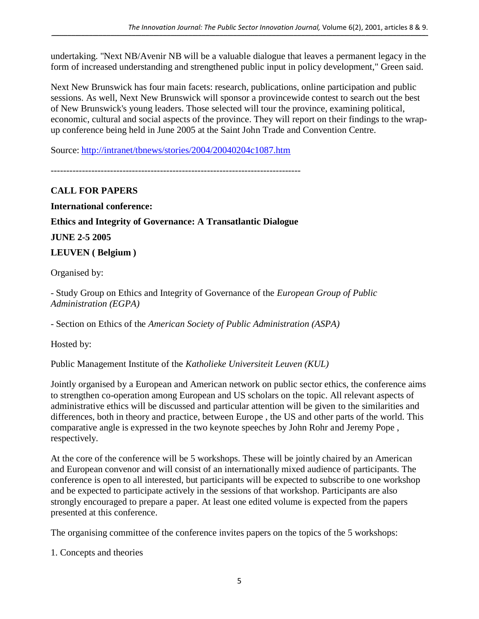undertaking. "Next NB/Avenir NB will be a valuable dialogue that leaves a permanent legacy in the form of increased understanding and strengthened public input in policy development," Green said.

Next New Brunswick has four main facets: research, publications, online participation and public sessions. As well, Next New Brunswick will sponsor a provincewide contest to search out the best of New Brunswick's young leaders. Those selected will tour the province, examining political, economic, cultural and social aspects of the province. They will report on their findings to the wrapup conference being held in June 2005 at the Saint John Trade and Convention Centre.

Source:<http://intranet/tbnews/stories/2004/20040204c1087.htm>

--------------------------------------------------------------------------------

<span id="page-4-0"></span>**CALL FOR PAPERS International conference: Ethics and Integrity of Governance: A Transatlantic Dialogue JUNE 2-5 2005 LEUVEN ( Belgium )**

Organised by:

- Study Group on Ethics and Integrity of Governance of the *European Group of Public Administration (EGPA)* 

- Section on Ethics of the *American Society of Public Administration (ASPA)*

Hosted by:

Public Management Institute of the *Katholieke Universiteit Leuven (KUL)*

Jointly organised by a European and American network on public sector ethics, the conference aims to strengthen co-operation among European and US scholars on the topic. All relevant aspects of administrative ethics will be discussed and particular attention will be given to the similarities and differences, both in theory and practice, between Europe , the US and other parts of the world. This comparative angle is expressed in the two keynote speeches by John Rohr and Jeremy Pope , respectively.

At the core of the conference will be 5 workshops. These will be jointly chaired by an American and European convenor and will consist of an internationally mixed audience of participants. The conference is open to all interested, but participants will be expected to subscribe to one workshop and be expected to participate actively in the sessions of that workshop. Participants are also strongly encouraged to prepare a paper. At least one edited volume is expected from the papers presented at this conference.

The organising committee of the conference invites papers on the topics of the 5 workshops:

1. Concepts and theories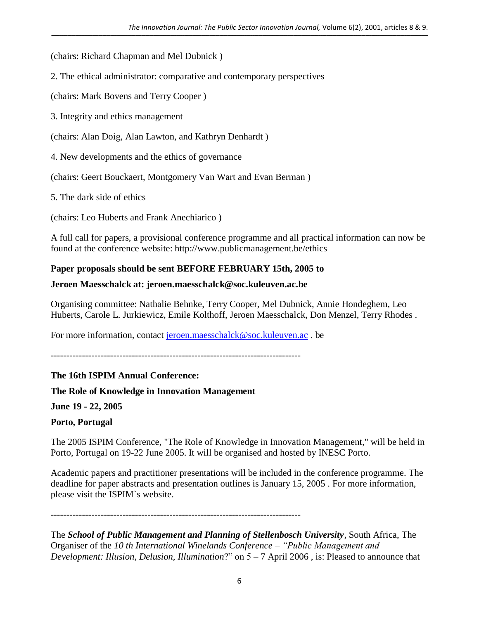$\_$  , and the state of the state of the state of the state of the state of the state of the state of the state of the state of the state of the state of the state of the state of the state of the state of the state of the

(chairs: Richard Chapman and Mel Dubnick )

2. The ethical administrator: comparative and contemporary perspectives

(chairs: Mark Bovens and Terry Cooper )

3. Integrity and ethics management

(chairs: Alan Doig, Alan Lawton, and Kathryn Denhardt )

4. New developments and the ethics of governance

(chairs: Geert Bouckaert, Montgomery Van Wart and Evan Berman )

5. The dark side of ethics

(chairs: Leo Huberts and Frank Anechiarico )

A full call for papers, a provisional conference programme and all practical information can now be found at the conference website: http://www.publicmanagement.be/ethics

# **Paper proposals should be sent BEFORE FEBRUARY 15th, 2005 to**

#### **Jeroen Maesschalck at: jeroen.maesschalck@soc.kuleuven.ac.be**

Organising committee: Nathalie Behnke, Terry Cooper, Mel Dubnick, Annie Hondeghem, Leo Huberts, Carole L. Jurkiewicz, Emile Kolthoff, Jeroen Maesschalck, Don Menzel, Terry Rhodes .

For more information, contact [jeroen.maesschalck@soc.kuleuven.ac](mailto:jeroen.maesschalck@soc.kuleuven.ac). be

--------------------------------------------------------------------------------

# <span id="page-5-0"></span>**The 16th ISPIM Annual Conference:**

**The Role of Knowledge in Innovation Management**

**June 19 - 22, 2005**

**Porto, Portugal** 

The 2005 ISPIM Conference, "The Role of Knowledge in Innovation Management," will be held in Porto, Portugal on 19-22 June 2005. It will be organised and hosted by INESC Porto.

Academic papers and practitioner presentations will be included in the conference programme. The deadline for paper abstracts and presentation outlines is January 15, 2005 . For more information, please visit the ISPIM`s website.

--------------------------------------------------------------------------------

The *School of Public Management and Planning of Stellenbosch University*, South Africa, The Organiser of the *10 th International Winelands Conference – "Public Management and Development: Illusion, Delusion, Illumination*?" on 5 – 7 April 2006 , is: Pleased to announce that